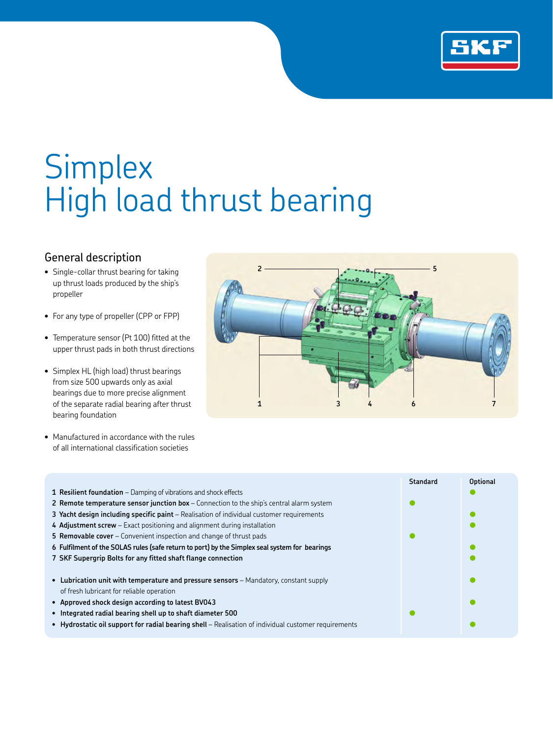

# **Simplex** High load thrust bearing

## General description

- Single-collar thrust bearing for taking up thrust loads produced by the ship's propeller
- For any type of propeller (CPP or FPP)
- Temperature sensor (Pt 100) fitted at the upper thrust pads in both thrust directions
- Simplex HL (high load) thrust bearings from size 500 upwards only as axial bearings due to more precise alignment of the separate radial bearing after thrust bearing foundation
- Manufactured in accordance with the rules of all international classification societies



| <b>Standard</b> | <b>Optional</b> |
|-----------------|-----------------|
|                 |                 |
|                 |                 |
|                 |                 |
|                 |                 |
|                 |                 |
|                 |                 |
|                 |                 |
|                 |                 |
|                 |                 |
|                 |                 |
|                 |                 |
|                 |                 |
|                 |                 |
|                 |                 |